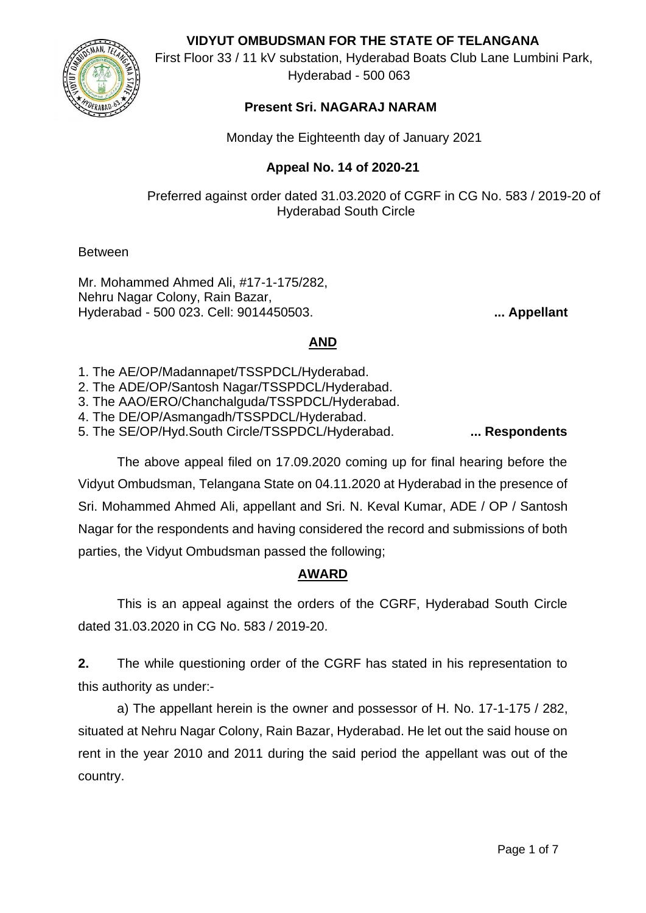**VIDYUT OMBUDSMAN FOR THE STATE OF TELANGANA**



First Floor 33 / 11 kV substation, Hyderabad Boats Club Lane Lumbini Park, Hyderabad - 500 063

## **Present Sri. NAGARAJ NARAM**

Monday the Eighteenth day of January 2021

#### **Appeal No. 14 of 2020-21**

Preferred against order dated 31.03.2020 of CGRF in CG No. 583 / 2019-20 of Hyderabad South Circle

Between

Mr. Mohammed Ahmed Ali, #17-1-175/282, Nehru Nagar Colony, Rain Bazar, Hyderabad - 500 023. Cell: 9014450503. **... Appellant**

### **AND**

1. The AE/OP/Madannapet/TSSPDCL/Hyderabad.

2. The ADE/OP/Santosh Nagar/TSSPDCL/Hyderabad.

3. The AAO/ERO/Chanchalguda/TSSPDCL/Hyderabad.

- 4. The DE/OP/Asmangadh/TSSPDCL/Hyderabad.
- 5. The SE/OP/Hyd.South Circle/TSSPDCL/Hyderabad. **... Respondents**

The above appeal filed on 17.09.2020 coming up for final hearing before the Vidyut Ombudsman, Telangana State on 04.11.2020 at Hyderabad in the presence of Sri. Mohammed Ahmed Ali, appellant and Sri. N. Keval Kumar, ADE / OP / Santosh Nagar for the respondents and having considered the record and submissions of both parties, the Vidyut Ombudsman passed the following;

# **AWARD**

This is an appeal against the orders of the CGRF, Hyderabad South Circle dated 31.03.2020 in CG No. 583 / 2019-20.

**2.** The while questioning order of the CGRF has stated in his representation to this authority as under:-

a) The appellant herein is the owner and possessor of H. No. 17-1-175 / 282, situated at Nehru Nagar Colony, Rain Bazar, Hyderabad. He let out the said house on rent in the year 2010 and 2011 during the said period the appellant was out of the country.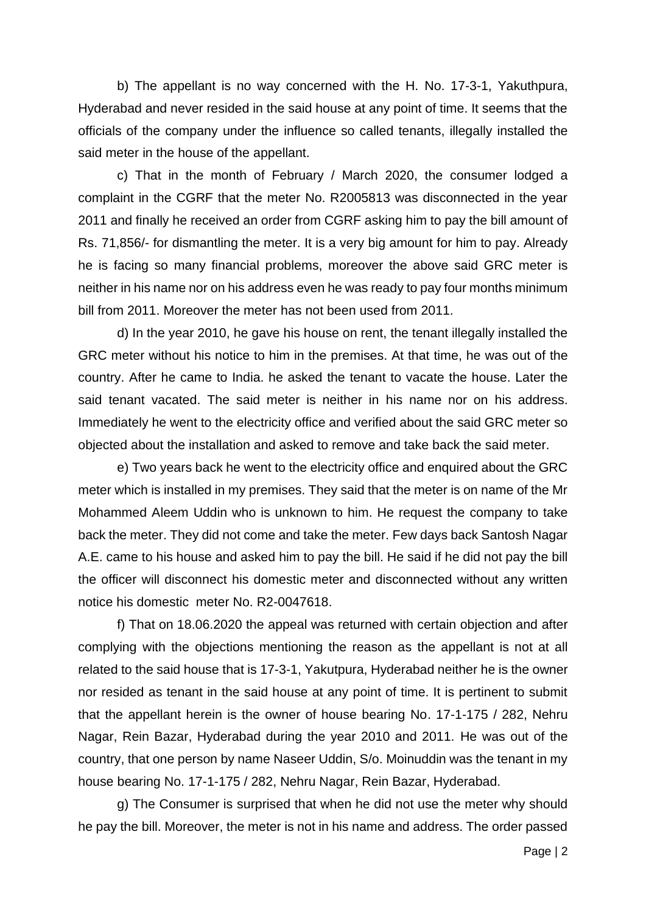b) The appellant is no way concerned with the H. No. 17-3-1, Yakuthpura, Hyderabad and never resided in the said house at any point of time. It seems that the officials of the company under the influence so called tenants, illegally installed the said meter in the house of the appellant.

c) That in the month of February / March 2020, the consumer lodged a complaint in the CGRF that the meter No. R2005813 was disconnected in the year 2011 and finally he received an order from CGRF asking him to pay the bill amount of Rs. 71,856/- for dismantling the meter. It is a very big amount for him to pay. Already he is facing so many financial problems, moreover the above said GRC meter is neither in his name nor on his address even he was ready to pay four months minimum bill from 2011. Moreover the meter has not been used from 2011.

d) In the year 2010, he gave his house on rent, the tenant illegally installed the GRC meter without his notice to him in the premises. At that time, he was out of the country. After he came to India. he asked the tenant to vacate the house. Later the said tenant vacated. The said meter is neither in his name nor on his address. Immediately he went to the electricity office and verified about the said GRC meter so objected about the installation and asked to remove and take back the said meter.

e) Two years back he went to the electricity office and enquired about the GRC meter which is installed in my premises. They said that the meter is on name of the Mr Mohammed Aleem Uddin who is unknown to him. He request the company to take back the meter. They did not come and take the meter. Few days back Santosh Nagar A.E. came to his house and asked him to pay the bill. He said if he did not pay the bill the officer will disconnect his domestic meter and disconnected without any written notice his domestic meter No. R2-0047618.

f) That on 18.06.2020 the appeal was returned with certain objection and after complying with the objections mentioning the reason as the appellant is not at all related to the said house that is 17-3-1, Yakutpura, Hyderabad neither he is the owner nor resided as tenant in the said house at any point of time. It is pertinent to submit that the appellant herein is the owner of house bearing No. 17-1-175 / 282, Nehru Nagar, Rein Bazar, Hyderabad during the year 2010 and 2011. He was out of the country, that one person by name Naseer Uddin, S/o. Moinuddin was the tenant in my house bearing No. 17-1-175 / 282, Nehru Nagar, Rein Bazar, Hyderabad.

g) The Consumer is surprised that when he did not use the meter why should he pay the bill. Moreover, the meter is not in his name and address. The order passed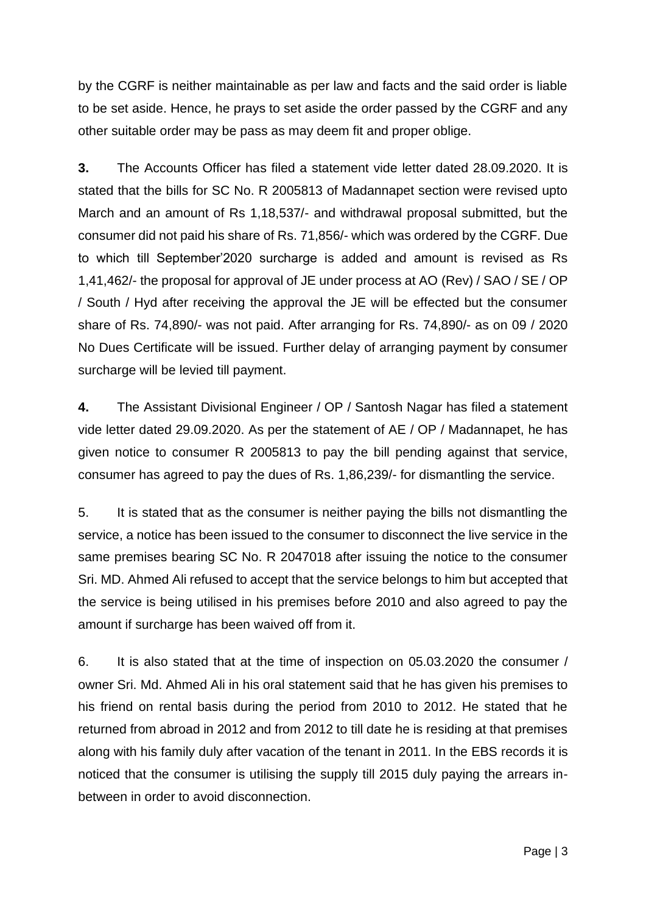by the CGRF is neither maintainable as per law and facts and the said order is liable to be set aside. Hence, he prays to set aside the order passed by the CGRF and any other suitable order may be pass as may deem fit and proper oblige.

**3.** The Accounts Officer has filed a statement vide letter dated 28.09.2020. It is stated that the bills for SC No. R 2005813 of Madannapet section were revised upto March and an amount of Rs 1,18,537/- and withdrawal proposal submitted, but the consumer did not paid his share of Rs. 71,856/- which was ordered by the CGRF. Due to which till September'2020 surcharge is added and amount is revised as Rs 1,41,462/- the proposal for approval of JE under process at AO (Rev) / SAO / SE / OP / South / Hyd after receiving the approval the JE will be effected but the consumer share of Rs. 74,890/- was not paid. After arranging for Rs. 74,890/- as on 09 / 2020 No Dues Certificate will be issued. Further delay of arranging payment by consumer surcharge will be levied till payment.

**4.** The Assistant Divisional Engineer / OP / Santosh Nagar has filed a statement vide letter dated 29.09.2020. As per the statement of AE / OP / Madannapet, he has given notice to consumer R 2005813 to pay the bill pending against that service, consumer has agreed to pay the dues of Rs. 1,86,239/- for dismantling the service.

5. It is stated that as the consumer is neither paying the bills not dismantling the service, a notice has been issued to the consumer to disconnect the live service in the same premises bearing SC No. R 2047018 after issuing the notice to the consumer Sri. MD. Ahmed Ali refused to accept that the service belongs to him but accepted that the service is being utilised in his premises before 2010 and also agreed to pay the amount if surcharge has been waived off from it.

6. It is also stated that at the time of inspection on 05.03.2020 the consumer / owner Sri. Md. Ahmed Ali in his oral statement said that he has given his premises to his friend on rental basis during the period from 2010 to 2012. He stated that he returned from abroad in 2012 and from 2012 to till date he is residing at that premises along with his family duly after vacation of the tenant in 2011. In the EBS records it is noticed that the consumer is utilising the supply till 2015 duly paying the arrears inbetween in order to avoid disconnection.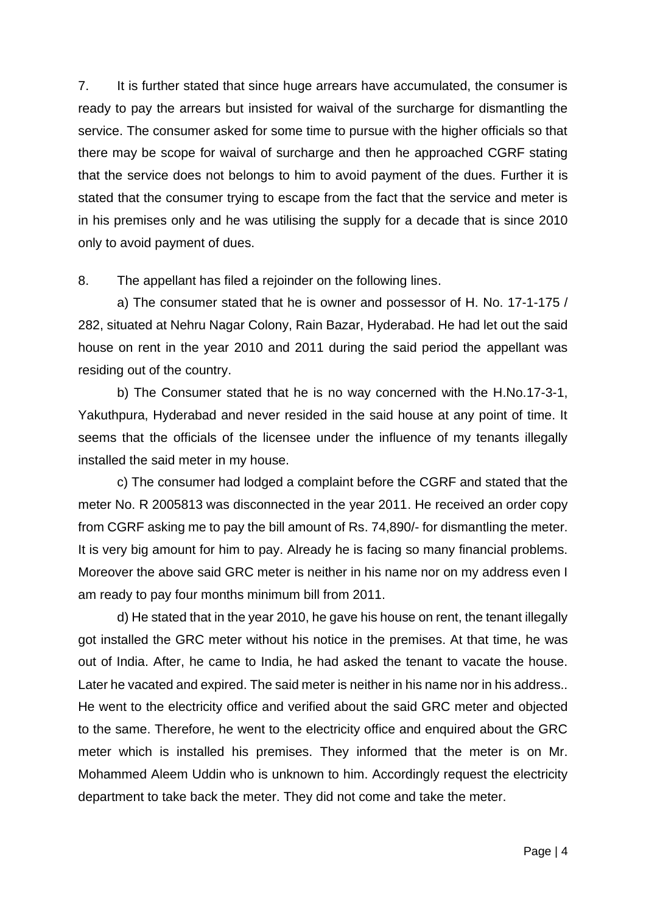7. It is further stated that since huge arrears have accumulated, the consumer is ready to pay the arrears but insisted for waival of the surcharge for dismantling the service. The consumer asked for some time to pursue with the higher officials so that there may be scope for waival of surcharge and then he approached CGRF stating that the service does not belongs to him to avoid payment of the dues. Further it is stated that the consumer trying to escape from the fact that the service and meter is in his premises only and he was utilising the supply for a decade that is since 2010 only to avoid payment of dues.

8. The appellant has filed a rejoinder on the following lines.

a) The consumer stated that he is owner and possessor of H. No. 17-1-175 / 282, situated at Nehru Nagar Colony, Rain Bazar, Hyderabad. He had let out the said house on rent in the year 2010 and 2011 during the said period the appellant was residing out of the country.

b) The Consumer stated that he is no way concerned with the H.No.17-3-1, Yakuthpura, Hyderabad and never resided in the said house at any point of time. It seems that the officials of the licensee under the influence of my tenants illegally installed the said meter in my house.

c) The consumer had lodged a complaint before the CGRF and stated that the meter No. R 2005813 was disconnected in the year 2011. He received an order copy from CGRF asking me to pay the bill amount of Rs. 74,890/- for dismantling the meter. It is very big amount for him to pay. Already he is facing so many financial problems. Moreover the above said GRC meter is neither in his name nor on my address even I am ready to pay four months minimum bill from 2011.

d) He stated that in the year 2010, he gave his house on rent, the tenant illegally got installed the GRC meter without his notice in the premises. At that time, he was out of India. After, he came to India, he had asked the tenant to vacate the house. Later he vacated and expired. The said meter is neither in his name nor in his address.. He went to the electricity office and verified about the said GRC meter and objected to the same. Therefore, he went to the electricity office and enquired about the GRC meter which is installed his premises. They informed that the meter is on Mr. Mohammed Aleem Uddin who is unknown to him. Accordingly request the electricity department to take back the meter. They did not come and take the meter.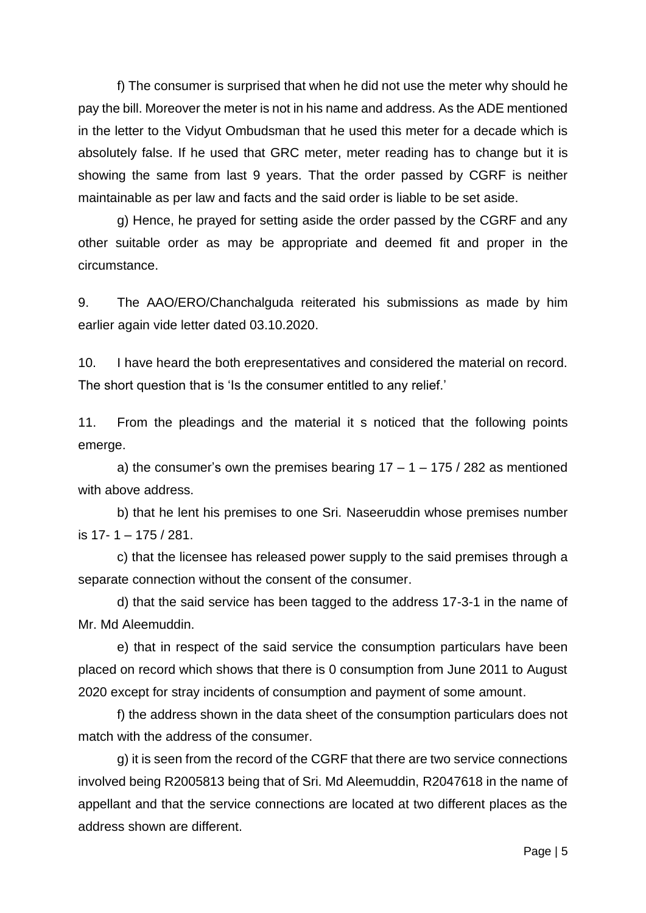f) The consumer is surprised that when he did not use the meter why should he pay the bill. Moreover the meter is not in his name and address. As the ADE mentioned in the letter to the Vidyut Ombudsman that he used this meter for a decade which is absolutely false. If he used that GRC meter, meter reading has to change but it is showing the same from last 9 years. That the order passed by CGRF is neither maintainable as per law and facts and the said order is liable to be set aside.

g) Hence, he prayed for setting aside the order passed by the CGRF and any other suitable order as may be appropriate and deemed fit and proper in the circumstance.

9. The AAO/ERO/Chanchalguda reiterated his submissions as made by him earlier again vide letter dated 03.10.2020.

10. I have heard the both erepresentatives and considered the material on record. The short question that is 'Is the consumer entitled to any relief.'

11. From the pleadings and the material it s noticed that the following points emerge.

a) the consumer's own the premises bearing  $17 - 1 - 175 / 282$  as mentioned with above address.

b) that he lent his premises to one Sri. Naseeruddin whose premises number is 17- 1 – 175 / 281.

c) that the licensee has released power supply to the said premises through a separate connection without the consent of the consumer.

d) that the said service has been tagged to the address 17-3-1 in the name of Mr. Md Aleemuddin.

e) that in respect of the said service the consumption particulars have been placed on record which shows that there is 0 consumption from June 2011 to August 2020 except for stray incidents of consumption and payment of some amount.

f) the address shown in the data sheet of the consumption particulars does not match with the address of the consumer.

g) it is seen from the record of the CGRF that there are two service connections involved being R2005813 being that of Sri. Md Aleemuddin, R2047618 in the name of appellant and that the service connections are located at two different places as the address shown are different.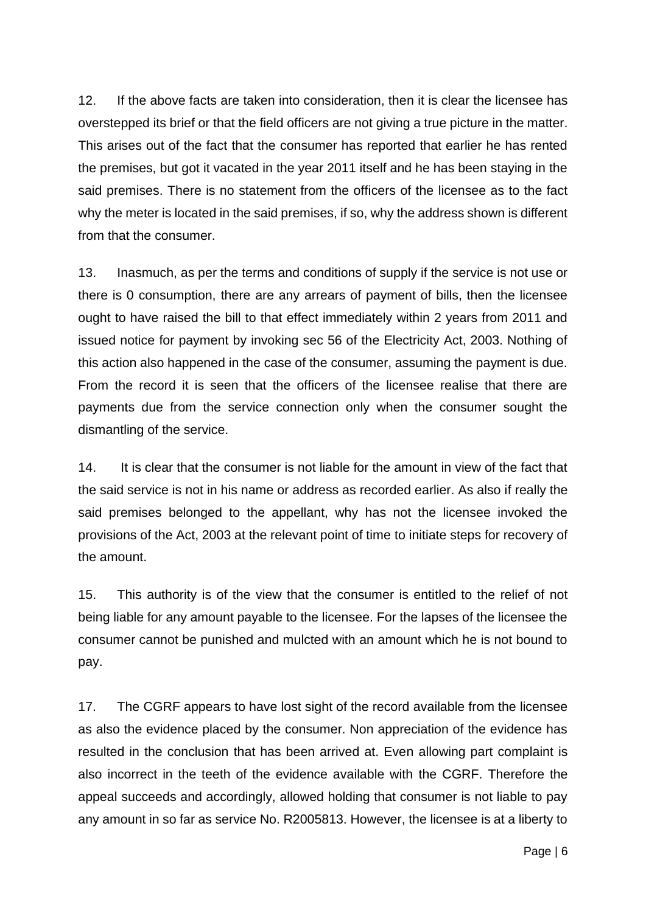12. If the above facts are taken into consideration, then it is clear the licensee has overstepped its brief or that the field officers are not giving a true picture in the matter. This arises out of the fact that the consumer has reported that earlier he has rented the premises, but got it vacated in the year 2011 itself and he has been staying in the said premises. There is no statement from the officers of the licensee as to the fact why the meter is located in the said premises, if so, why the address shown is different from that the consumer.

13. Inasmuch, as per the terms and conditions of supply if the service is not use or there is 0 consumption, there are any arrears of payment of bills, then the licensee ought to have raised the bill to that effect immediately within 2 years from 2011 and issued notice for payment by invoking sec 56 of the Electricity Act, 2003. Nothing of this action also happened in the case of the consumer, assuming the payment is due. From the record it is seen that the officers of the licensee realise that there are payments due from the service connection only when the consumer sought the dismantling of the service.

14. It is clear that the consumer is not liable for the amount in view of the fact that the said service is not in his name or address as recorded earlier. As also if really the said premises belonged to the appellant, why has not the licensee invoked the provisions of the Act, 2003 at the relevant point of time to initiate steps for recovery of the amount.

15. This authority is of the view that the consumer is entitled to the relief of not being liable for any amount payable to the licensee. For the lapses of the licensee the consumer cannot be punished and mulcted with an amount which he is not bound to pay.

17. The CGRF appears to have lost sight of the record available from the licensee as also the evidence placed by the consumer. Non appreciation of the evidence has resulted in the conclusion that has been arrived at. Even allowing part complaint is also incorrect in the teeth of the evidence available with the CGRF. Therefore the appeal succeeds and accordingly, allowed holding that consumer is not liable to pay any amount in so far as service No. R2005813. However, the licensee is at a liberty to